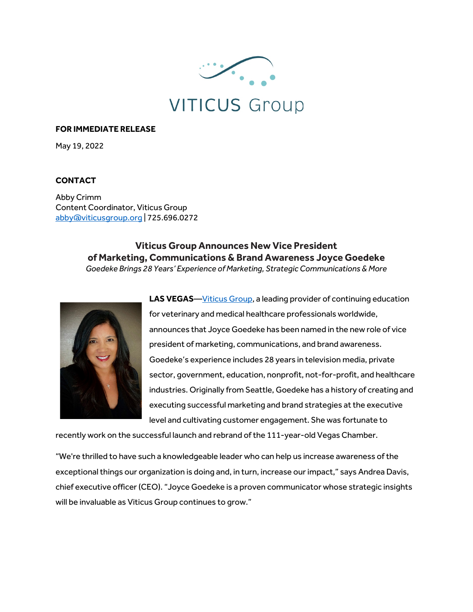

## **FOR IMMEDIATE RELEASE**

May 19, 2022

## **CONTACT**

Abby Crimm Content Coordinator, Viticus Group abby@viticusgroup.org | 725.696.0272

> **Viticus Group Announces New Vice President of Marketing, Communications & Brand Awareness Joyce Goedeke** *Goedeke Brings 28 Years' Experience of Marketing, Strategic Communications & More*



LAS VEGAS—Viticus Group, a leading provider of continuing education for veterinary and medical healthcare professionals worldwide, announces that Joyce Goedeke has been named in the new role of vice president of marketing, communications, and brand awareness. Goedeke's experience includes 28 years in television media, private sector, government, education, nonprofit, not-for-profit, and healthcare industries. Originally from Seattle, Goedeke has a history of creating and executing successful marketing and brand strategies at the executive level and cultivating customer engagement. She was fortunate to

recently work on the successful launch and rebrand of the 111-year-old Vegas Chamber.

"We're thrilled to have such a knowledgeable leader who can help us increase awareness of the exceptional things our organization is doing and, in turn, increase our impact," says Andrea Davis, chief executive officer (CEO). "Joyce Goedeke is a proven communicator whose strategic insights will be invaluable as Viticus Group continues to grow."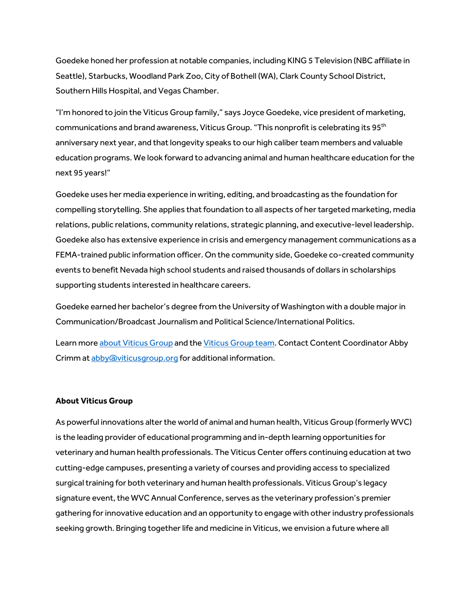Goedeke honed her profession at notable companies, including KING 5 Television (NBC affiliate in Seattle), Starbucks, Woodland Park Zoo, City of Bothell (WA), Clark County School District, Southern Hills Hospital, and Vegas Chamber.

"I'm honored to join the Viticus Group family," says Joyce Goedeke, vice president of marketing, communications and brand awareness, Viticus Group. "This nonprofit is celebrating its 95<sup>th</sup> anniversary next year, and that longevity speaks to our high caliber team members and valuable education programs. We look forward to advancing animal and human healthcare education for the next 95 years!"

Goedeke uses her media experience in writing, editing, and broadcasting as the foundation for compelling storytelling. She applies that foundation to all aspects of her targeted marketing, media relations, public relations, community relations, strategic planning, and executive-level leadership. Goedeke also has extensive experience in crisis and emergency management communications as a FEMA-trained public information officer. On the community side, Goedeke co-created community events to benefit Nevada high school students and raised thousands of dollars in scholarships supporting students interested in healthcare careers.

Goedeke earned her bachelor's degree from the University of Washington with a double major in Communication/Broadcast Journalism and Political Science/International Politics.

Learn more about Viticus Group and the Viticus Group team. Contact Content Coordinator Abby Crimm at abby@viticusgroup.org for additional information.

## **About Viticus Group**

As powerful innovations alter the world of animal and human health, Viticus Group (formerly WVC) is the leading provider of educational programming and in-depth learning opportunities for veterinary and human health professionals. The Viticus Center offers continuing education at two cutting-edge campuses, presenting a variety of courses and providing access to specialized surgical training for both veterinary and human health professionals. Viticus Group's legacy signature event, the WVC Annual Conference, serves as the veterinary profession's premier gathering for innovative education and an opportunity to engage with other industry professionals seeking growth. Bringing together life and medicine in Viticus, we envision a future where all